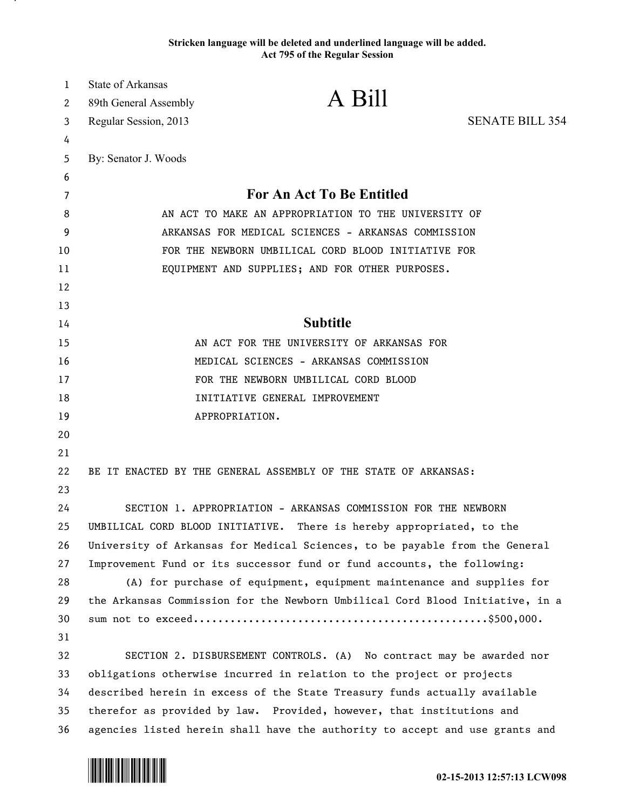## **Stricken language will be deleted and underlined language will be added. Act 795 of the Regular Session**

| 1  | <b>State of Arkansas</b>                                                      |                                                                              |                        |
|----|-------------------------------------------------------------------------------|------------------------------------------------------------------------------|------------------------|
| 2  | 89th General Assembly                                                         | A Bill                                                                       |                        |
| 3  | Regular Session, 2013                                                         |                                                                              | <b>SENATE BILL 354</b> |
| 4  |                                                                               |                                                                              |                        |
| 5  | By: Senator J. Woods                                                          |                                                                              |                        |
| 6  |                                                                               |                                                                              |                        |
| 7  | <b>For An Act To Be Entitled</b>                                              |                                                                              |                        |
| 8  | AN ACT TO MAKE AN APPROPRIATION TO THE UNIVERSITY OF                          |                                                                              |                        |
| 9  | ARKANSAS FOR MEDICAL SCIENCES - ARKANSAS COMMISSION                           |                                                                              |                        |
| 10 | FOR THE NEWBORN UMBILICAL CORD BLOOD INITIATIVE FOR                           |                                                                              |                        |
| 11 | EQUIPMENT AND SUPPLIES; AND FOR OTHER PURPOSES.                               |                                                                              |                        |
| 12 |                                                                               |                                                                              |                        |
| 13 |                                                                               |                                                                              |                        |
| 14 | <b>Subtitle</b>                                                               |                                                                              |                        |
| 15 | AN ACT FOR THE UNIVERSITY OF ARKANSAS FOR                                     |                                                                              |                        |
| 16 | MEDICAL SCIENCES - ARKANSAS COMMISSION                                        |                                                                              |                        |
| 17 | FOR THE NEWBORN UMBILICAL CORD BLOOD                                          |                                                                              |                        |
| 18 | INITIATIVE GENERAL IMPROVEMENT                                                |                                                                              |                        |
| 19 |                                                                               | APPROPRIATION.                                                               |                        |
| 20 |                                                                               |                                                                              |                        |
| 21 |                                                                               |                                                                              |                        |
| 22 |                                                                               | BE IT ENACTED BY THE GENERAL ASSEMBLY OF THE STATE OF ARKANSAS:              |                        |
| 23 |                                                                               |                                                                              |                        |
| 24 | SECTION 1. APPROPRIATION - ARKANSAS COMMISSION FOR THE NEWBORN                |                                                                              |                        |
| 25 | UMBILICAL CORD BLOOD INITIATIVE. There is hereby appropriated, to the         |                                                                              |                        |
| 26 | University of Arkansas for Medical Sciences, to be payable from the General   |                                                                              |                        |
| 27 | Improvement Fund or its successor fund or fund accounts, the following:       |                                                                              |                        |
| 28 | (A) for purchase of equipment, equipment maintenance and supplies for         |                                                                              |                        |
| 29 | the Arkansas Commission for the Newborn Umbilical Cord Blood Initiative, in a |                                                                              |                        |
| 30 |                                                                               |                                                                              |                        |
| 31 |                                                                               |                                                                              |                        |
| 32 |                                                                               | SECTION 2. DISBURSEMENT CONTROLS. (A) No contract may be awarded nor         |                        |
| 33 | obligations otherwise incurred in relation to the project or projects         |                                                                              |                        |
| 34 | described herein in excess of the State Treasury funds actually available     |                                                                              |                        |
| 35 |                                                                               | therefor as provided by law. Provided, however, that institutions and        |                        |
| 36 |                                                                               | agencies listed herein shall have the authority to accept and use grants and |                        |



.